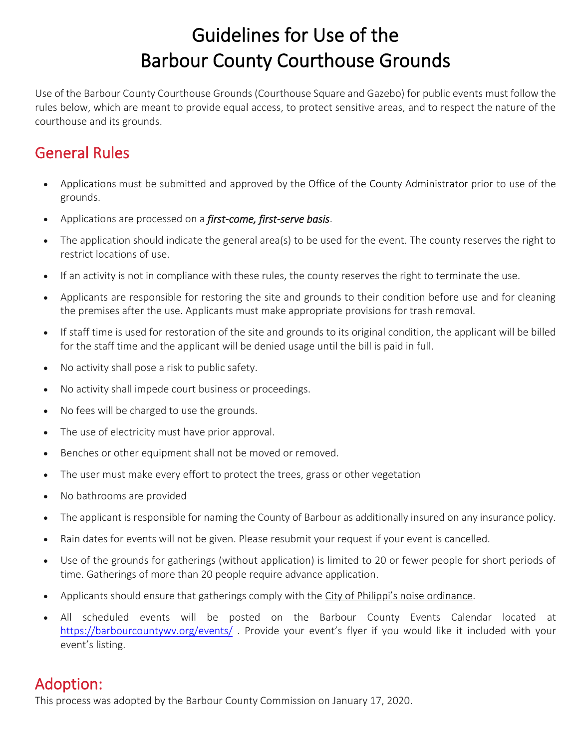# Guidelines for Use of the Barbour County Courthouse Grounds

Use of the Barbour County Courthouse Grounds (Courthouse Square and Gazebo) for public events must follow the rules below, which are meant to provide equal access, to protect sensitive areas, and to respect the nature of the courthouse and its grounds.

## General Rules

- [Applications](https://www.loudoun.gov/FormCenter/Public-Affairs-14/Application-for-Use-of-Courthouse-Ground-98) must be submitted and approved by the [Office of the County Administrator](https://www.loudoun.gov/countyadministrator) prior to use of the grounds.
- Applications are processed on a *first-come, first-serve basis*.
- The application should indicate the general area(s) to be used for the event. The county reserves the right to restrict locations of use.
- If an activity is not in compliance with these rules, the county reserves the right to terminate the use.
- Applicants are responsible for restoring the site and grounds to their condition before use and for cleaning the premises after the use. Applicants must make appropriate provisions for trash removal.
- If staff time is used for restoration of the site and grounds to its original condition, the applicant will be billed for the staff time and the applicant will be denied usage until the bill is paid in full.
- No activity shall pose a risk to public safety.
- No activity shall impede court business or proceedings.
- No fees will be charged to use the grounds.
- The use of electricity must have prior approval.
- Benches or other equipment shall not be moved or removed.
- The user must make every effort to protect the trees, grass or other vegetation
- No bathrooms are provided
- The applicant is responsible for naming the County of Barbour as additionally insured on any insurance policy.
- Rain dates for events will not be given. Please resubmit your request if your event is cancelled.
- Use of the grounds for gatherings (without application) is limited to 20 or fewer people for short periods of time. Gatherings of more than 20 people require advance application.
- Applicants should ensure that gatherings comply with the [City of Philippi's](https://www.leesburgva.gov/government/town-code/noise-ordinance) noise ordinance.
- All scheduled events will be posted on the Barbour County Events Calendar located at <https://barbourcountywv.org/events/> . Provide your event's flyer if you would like it included with your event's listing.

Adoption:<br>This process was adopted by the Barbour County Commission on January 17, 2020.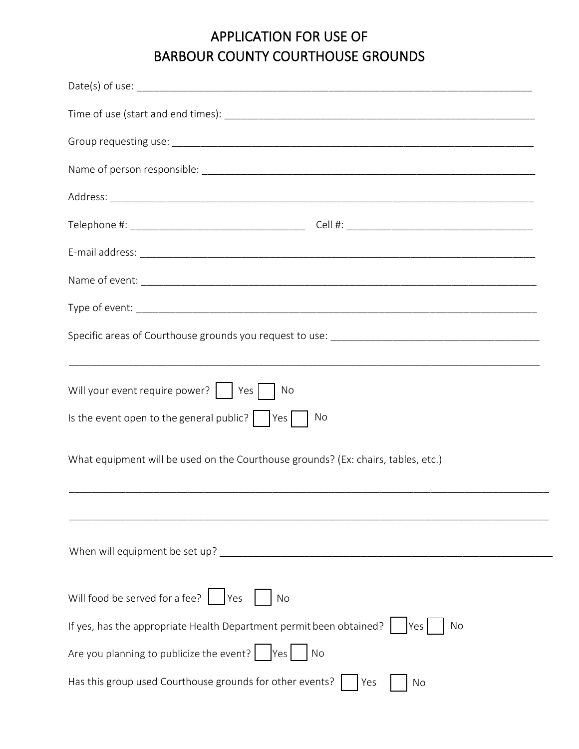### APPLICATION FOR USE OF BARBOUR COUNTY COURTHOUSE GROUNDS

| ,我们也不会有什么。""我们的人,我们也不会有什么?""我们的人,我们也不会有什么?""我们的人,我们也不会有什么?""我们的人,我们也不会有什么?""我们的人        |  |  |  |  |
|-----------------------------------------------------------------------------------------|--|--|--|--|
| Will your event require power?     Yes    <br>No                                        |  |  |  |  |
| Is the event open to the general public? $ $ $ $ Yes $ $<br>No                          |  |  |  |  |
| What equipment will be used on the Courthouse grounds? (Ex: chairs, tables, etc.)       |  |  |  |  |
|                                                                                         |  |  |  |  |
|                                                                                         |  |  |  |  |
| Will food be served for a fee?<br> Yes<br>No                                            |  |  |  |  |
| If yes, has the appropriate Health Department permit been obtained?<br>No<br><b>Yes</b> |  |  |  |  |
| Are you planning to publicize the event? $ $ Yes<br>No                                  |  |  |  |  |
| Has this group used Courthouse grounds for other events?<br>Yes<br>No                   |  |  |  |  |